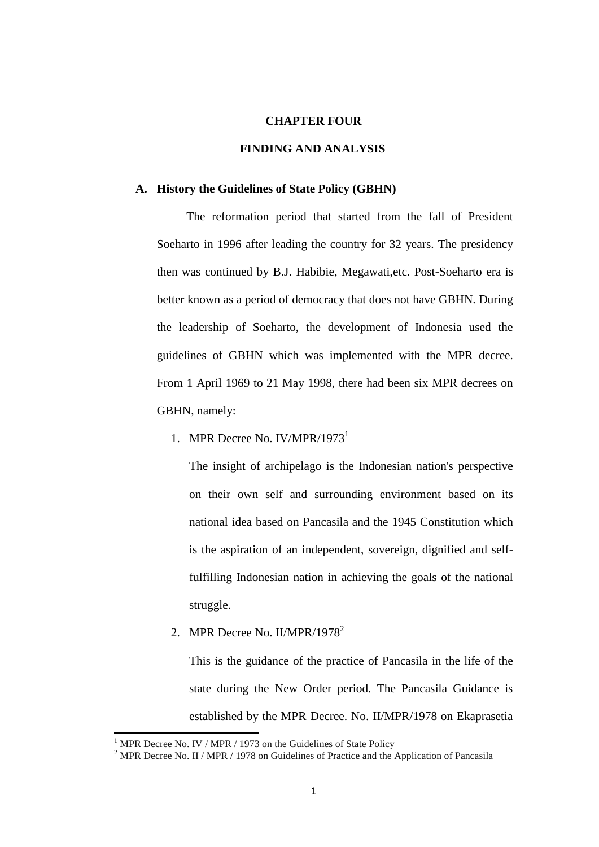#### **CHAPTER FOUR**

### **FINDING AND ANALYSIS**

#### **A. History the Guidelines of State Policy (GBHN)**

The reformation period that started from the fall of President Soeharto in 1996 after leading the country for 32 years. The presidency then was continued by B.J. Habibie, Megawati,etc. Post-Soeharto era is better known as a period of democracy that does not have GBHN. During the leadership of Soeharto, the development of Indonesia used the guidelines of GBHN which was implemented with the MPR decree. From 1 April 1969 to 21 May 1998, there had been six MPR decrees on GBHN, namely:

1. MPR Decree No. IV/MPR/1973<sup>1</sup>

The insight of archipelago is the Indonesian nation's perspective on their own self and surrounding environment based on its national idea based on Pancasila and the 1945 Constitution which is the aspiration of an independent, sovereign, dignified and selffulfilling Indonesian nation in achieving the goals of the national struggle.

2. MPR Decree No. II/MPR/1978<sup>2</sup>

This is the guidance of the practice of Pancasila in the life of the state during the New Order period. The Pancasila Guidance is established by the MPR Decree. No. II/MPR/1978 on Ekaprasetia

 $1$  MPR Decree No. IV / MPR / 1973 on the Guidelines of State Policy

<sup>&</sup>lt;sup>2</sup> MPR Decree No. II / MPR / 1978 on Guidelines of Practice and the Application of Pancasila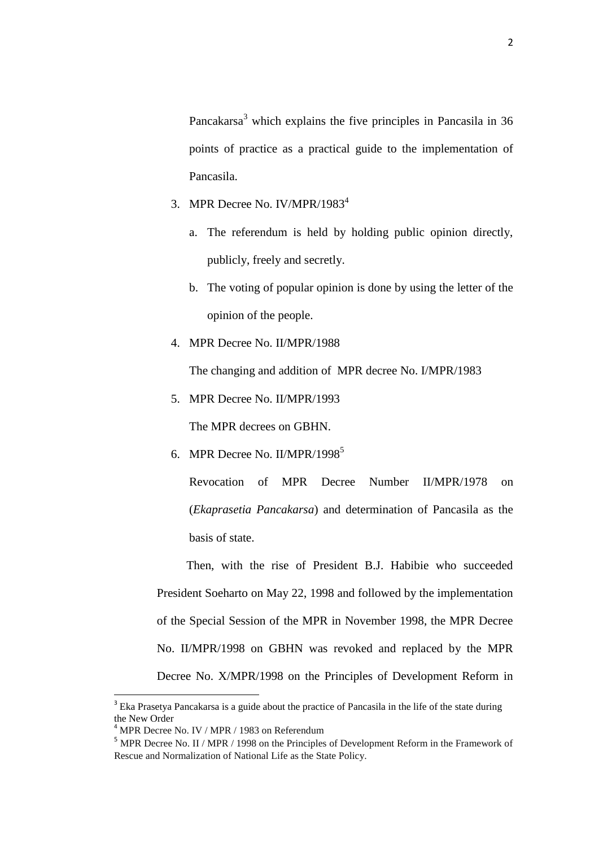Pancakarsa<sup>3</sup> which explains the five principles in Pancasila in 36 points of practice as a practical guide to the implementation of Pancasila.

- 3. MPR Decree No. IV/MPR/1983<sup>4</sup>
	- a. The referendum is held by holding public opinion directly, publicly, freely and secretly.
	- b. The voting of popular opinion is done by using the letter of the opinion of the people.
- 4. MPR Decree No. II/MPR/1988

The changing and addition of MPR decree No. I/MPR/1983

5. MPR Decree No. II/MPR/1993

The MPR decrees on GBHN.

6. MPR Decree No. II/MPR/1998<sup>5</sup>

Revocation of MPR Decree Number II/MPR/1978 on (*Ekaprasetia Pancakarsa*) and determination of Pancasila as the basis of state.

Then, with the rise of President B.J. Habibie who succeeded President Soeharto on May 22, 1998 and followed by the implementation of the Special Session of the MPR in November 1998, the MPR Decree No. II/MPR/1998 on GBHN was revoked and replaced by the MPR Decree No. X/MPR/1998 on the Principles of Development Reform in

<sup>&</sup>lt;sup>3</sup> Eka Prasetya Pancakarsa is a guide about the practice of Pancasila in the life of the state during the New Order

 $4$  MPR Decree No. IV / MPR / 1983 on Referendum

<sup>&</sup>lt;sup>5</sup> MPR Decree No. II / MPR / 1998 on the Principles of Development Reform in the Framework of Rescue and Normalization of National Life as the State Policy.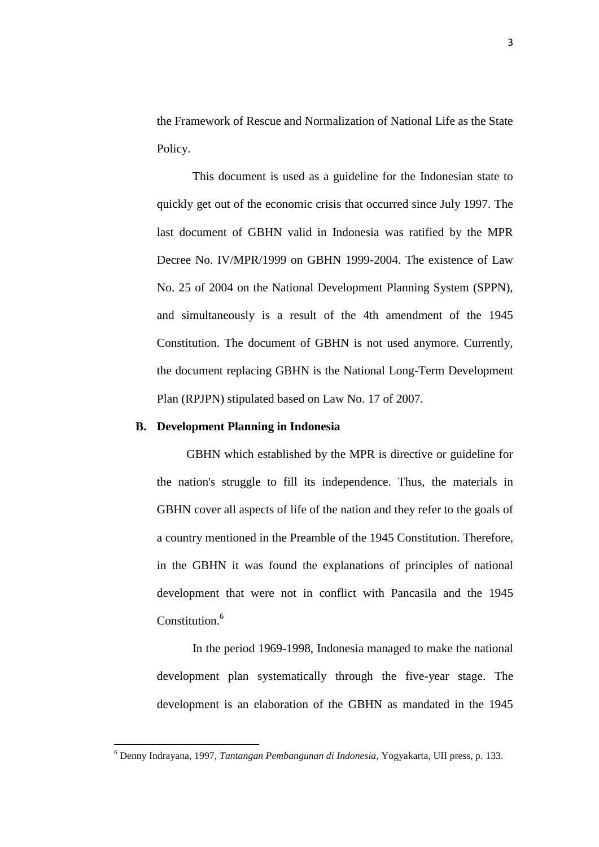the Framework of Rescue and Normalization of National Life as the State Policy.

This document is used as a guideline for the Indonesian state to quickly get out of the economic crisis that occurred since July 1997. The last document of GBHN valid in Indonesia was ratified by the MPR Decree No. IV/MPR/1999 on GBHN 1999-2004. The existence of Law No. 25 of 2004 on the National Development Planning System (SPPN), and simultaneously is a result of the 4th amendment of the 1945 Constitution. The document of GBHN is not used anymore. Currently, the document replacing GBHN is the National Long-Term Development Plan (RPJPN) stipulated based on Law No. 17 of 2007.

#### **B. Development Planning in Indonesia**

 $\overline{\phantom{a}}$ 

GBHN which established by the MPR is directive or guideline for the nation's struggle to fill its independence. Thus, the materials in GBHN cover all aspects of life of the nation and they refer to the goals of a country mentioned in the Preamble of the 1945 Constitution. Therefore, in the GBHN it was found the explanations of principles of national development that were not in conflict with Pancasila and the 1945 Constitution.<sup>6</sup>

In the period 1969-1998, Indonesia managed to make the national development plan systematically through the five-year stage. The development is an elaboration of the GBHN as mandated in the 1945

<sup>6</sup> Denny Indrayana, 1997, *Tantangan Pembangunan di Indonesia*, Yogyakarta, UII press, p. 133.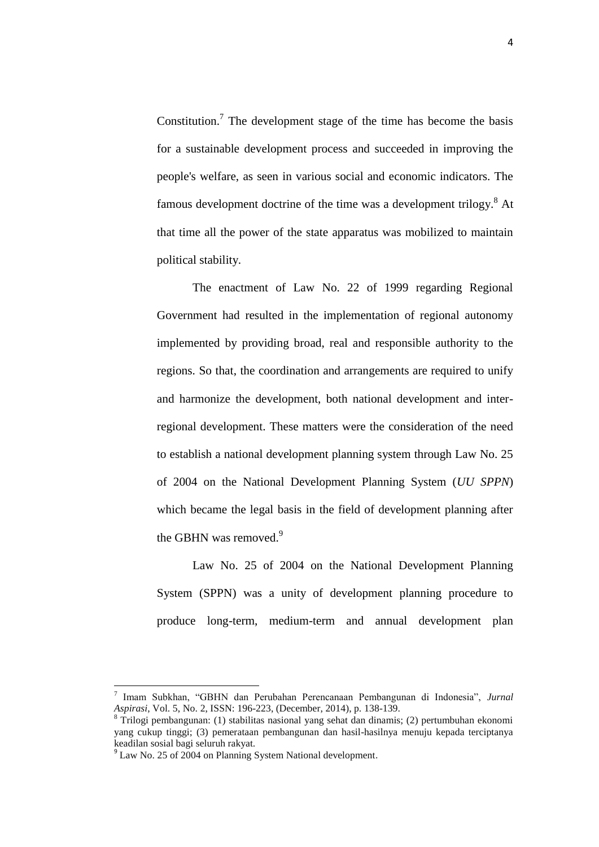Constitution.<sup>7</sup> The development stage of the time has become the basis for a sustainable development process and succeeded in improving the people's welfare, as seen in various social and economic indicators. The famous development doctrine of the time was a development trilogy.<sup>8</sup> At that time all the power of the state apparatus was mobilized to maintain political stability.

The enactment of Law No. 22 of 1999 regarding Regional Government had resulted in the implementation of regional autonomy implemented by providing broad, real and responsible authority to the regions. So that, the coordination and arrangements are required to unify and harmonize the development, both national development and interregional development. These matters were the consideration of the need to establish a national development planning system through Law No. 25 of 2004 on the National Development Planning System (*UU SPPN*) which became the legal basis in the field of development planning after the GBHN was removed.<sup>9</sup>

Law No. 25 of 2004 on the National Development Planning System (SPPN) was a unity of development planning procedure to produce long-term, medium-term and annual development plan

l

<sup>7</sup> Imam Subkhan, "GBHN dan Perubahan Perencanaan Pembangunan di Indonesia", *Jurnal Aspirasi*, Vol. 5, No. 2, ISSN: 196-223, (December, 2014), p. 138-139.

<sup>&</sup>lt;sup>8</sup> Trilogi pembangunan: (1) stabilitas nasional yang sehat dan dinamis; (2) pertumbuhan ekonomi yang cukup tinggi; (3) pemerataan pembangunan dan hasil-hasilnya menuju kepada terciptanya keadilan sosial bagi seluruh rakyat.

<sup>&</sup>lt;sup>9</sup> Law No. 25 of 2004 on Planning System National development.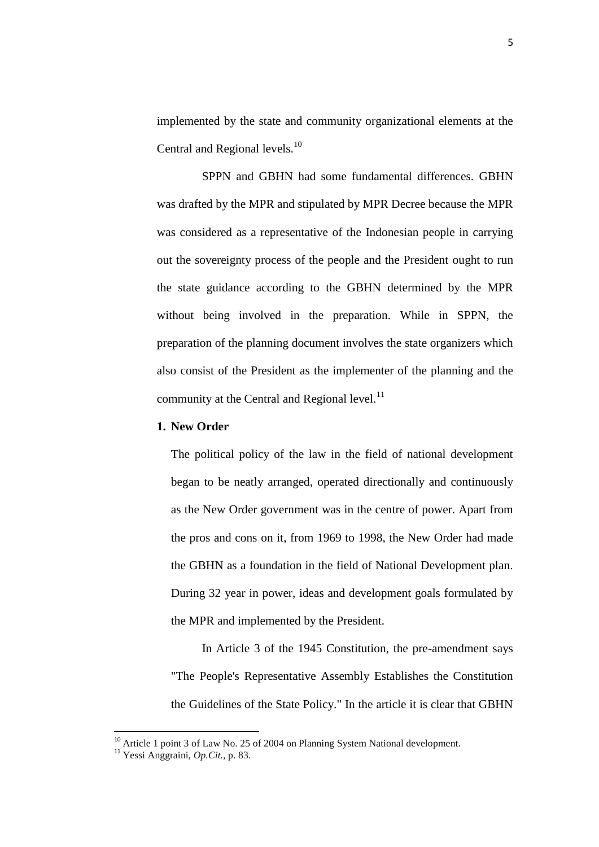implemented by the state and community organizational elements at the Central and Regional levels.<sup>10</sup>

SPPN and GBHN had some fundamental differences. GBHN was drafted by the MPR and stipulated by MPR Decree because the MPR was considered as a representative of the Indonesian people in carrying out the sovereignty process of the people and the President ought to run the state guidance according to the GBHN determined by the MPR without being involved in the preparation. While in SPPN, the preparation of the planning document involves the state organizers which also consist of the President as the implementer of the planning and the community at the Central and Regional level. $^{11}$ 

### **1. New Order**

The political policy of the law in the field of national development began to be neatly arranged, operated directionally and continuously as the New Order government was in the centre of power. Apart from the pros and cons on it, from 1969 to 1998, the New Order had made the GBHN as a foundation in the field of National Development plan. During 32 year in power, ideas and development goals formulated by the MPR and implemented by the President.

In Article 3 of the 1945 Constitution, the pre-amendment says "The People's Representative Assembly Establishes the Constitution the Guidelines of the State Policy." In the article it is clear that GBHN

l

<sup>&</sup>lt;sup>10</sup> Article 1 point 3 of Law No. 25 of 2004 on Planning System National development.

<sup>11</sup> Yessi Anggraini, *Op.Cit.,* p. 83.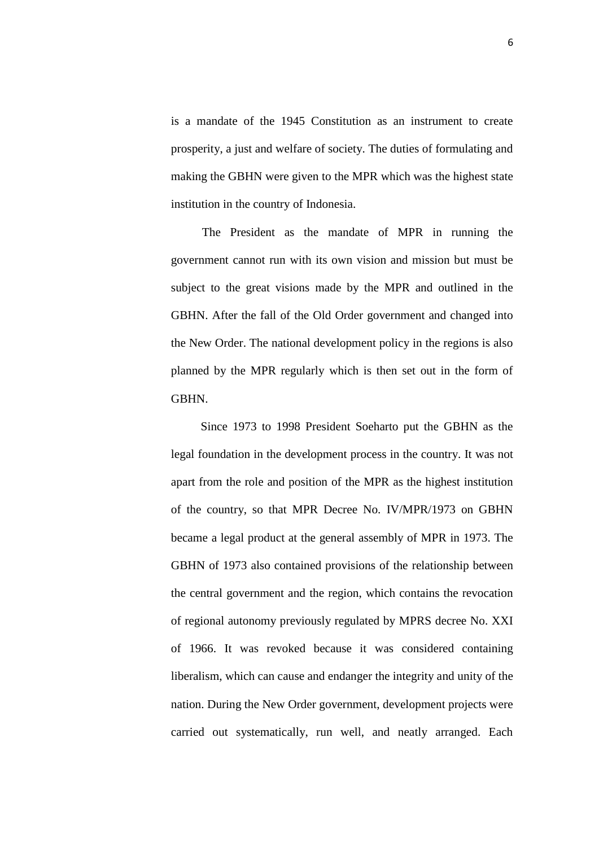is a mandate of the 1945 Constitution as an instrument to create prosperity, a just and welfare of society. The duties of formulating and making the GBHN were given to the MPR which was the highest state institution in the country of Indonesia.

The President as the mandate of MPR in running the government cannot run with its own vision and mission but must be subject to the great visions made by the MPR and outlined in the GBHN. After the fall of the Old Order government and changed into the New Order. The national development policy in the regions is also planned by the MPR regularly which is then set out in the form of GBHN.

Since 1973 to 1998 President Soeharto put the GBHN as the legal foundation in the development process in the country. It was not apart from the role and position of the MPR as the highest institution of the country, so that MPR Decree No. IV/MPR/1973 on GBHN became a legal product at the general assembly of MPR in 1973. The GBHN of 1973 also contained provisions of the relationship between the central government and the region, which contains the revocation of regional autonomy previously regulated by MPRS decree No. XXI of 1966. It was revoked because it was considered containing liberalism, which can cause and endanger the integrity and unity of the nation. During the New Order government, development projects were carried out systematically, run well, and neatly arranged. Each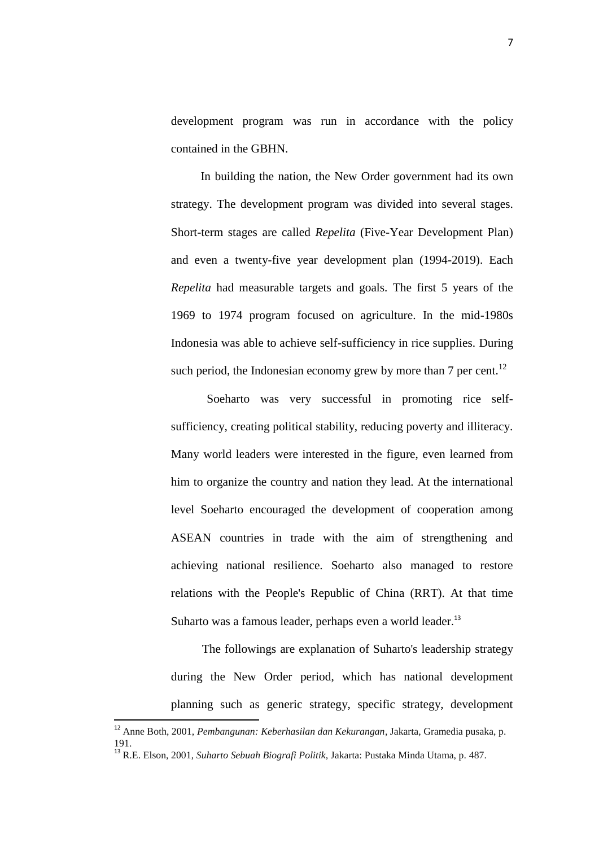development program was run in accordance with the policy contained in the GBHN.

In building the nation, the New Order government had its own strategy. The development program was divided into several stages. Short-term stages are called *Repelita* (Five-Year Development Plan) and even a twenty-five year development plan (1994-2019). Each *Repelita* had measurable targets and goals. The first 5 years of the 1969 to 1974 program focused on agriculture. In the mid-1980s Indonesia was able to achieve self-sufficiency in rice supplies. During such period, the Indonesian economy grew by more than  $7$  per cent.<sup>12</sup>

Soeharto was very successful in promoting rice selfsufficiency, creating political stability, reducing poverty and illiteracy. Many world leaders were interested in the figure, even learned from him to organize the country and nation they lead. At the international level Soeharto encouraged the development of cooperation among ASEAN countries in trade with the aim of strengthening and achieving national resilience. Soeharto also managed to restore relations with the People's Republic of China (RRT). At that time Suharto was a famous leader, perhaps even a world leader.<sup>13</sup>

The followings are explanation of Suharto's leadership strategy during the New Order period, which has national development planning such as generic strategy, specific strategy, development

 $\overline{\phantom{a}}$ 

<sup>12</sup> Anne Both, 2001, *Pembangunan: Keberhasilan dan Kekurangan*, Jakarta, Gramedia pusaka, p. 191.

<sup>13</sup> R.E. Elson, 2001, *Suharto Sebuah Biografi Politik,* Jakarta: Pustaka Minda Utama, p. 487.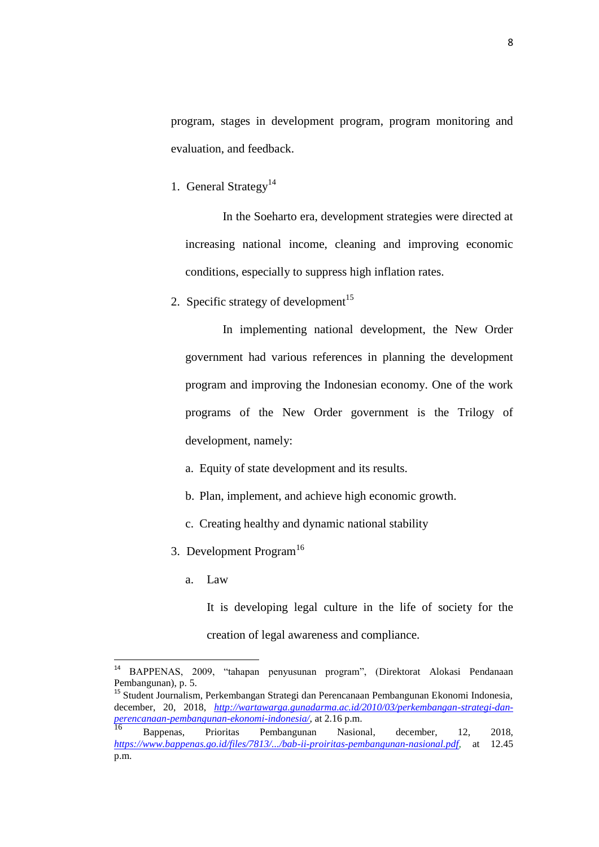program, stages in development program, program monitoring and evaluation, and feedback.

1. General Strategy<sup>14</sup>

In the Soeharto era, development strategies were directed at increasing national income, cleaning and improving economic conditions, especially to suppress high inflation rates.

2. Specific strategy of development<sup>15</sup>

In implementing national development, the New Order government had various references in planning the development program and improving the Indonesian economy. One of the work programs of the New Order government is the Trilogy of development, namely:

- a. Equity of state development and its results.
- b. Plan, implement, and achieve high economic growth.
- c. Creating healthy and dynamic national stability
- 3. Development Program<sup>16</sup>
	- a. Law

It is developing legal culture in the life of society for the creation of legal awareness and compliance.

<sup>15</sup> Student Journalism, Perkembangan Strategi dan Perencanaan Pembangunan Ekonomi Indonesia, december, 20, 2018, *[http://wartawarga.gunadarma.ac.id/2010/03/perkembangan-strategi-dan](http://wartawarga.gunadarma.ac.id/2010/03/perkembangan-strategi-dan-perencanaan-pembangunan-ekonomi-indonesia/)[perencanaan-pembangunan-ekonomi-indonesia/](http://wartawarga.gunadarma.ac.id/2010/03/perkembangan-strategi-dan-perencanaan-pembangunan-ekonomi-indonesia/)*, at 2.16 p.m.

 $14\,$ <sup>14</sup> BAPPENAS, 2009, "tahapan penyusunan program", (Direktorat Alokasi Pendanaan Pembangunan), p. 5.

<sup>16</sup> Bappenas, Prioritas Pembangunan Nasional, december, 12, 2018, *[https://www.bappenas.go.id/files/7813/.../bab-ii-proiritas-pembangunan-nasional.pdf,](https://www.bappenas.go.id/files/7813/.../bab-ii-proiritas-pembangunan-nasional.pdf)* at 12.45 p.m.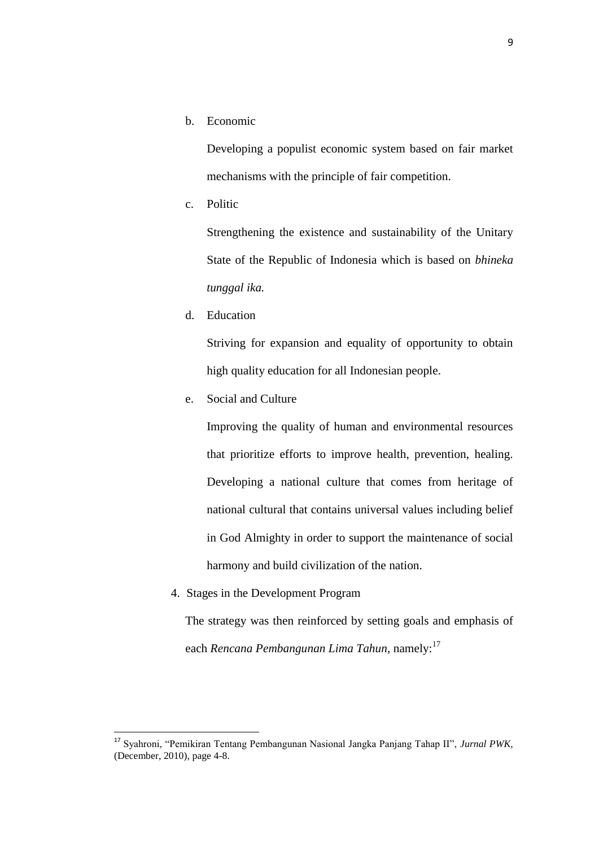b. Economic

Developing a populist economic system based on fair market mechanisms with the principle of fair competition.

c. Politic

Strengthening the existence and sustainability of the Unitary State of the Republic of Indonesia which is based on *bhineka tunggal ika.*

d. Education

Striving for expansion and equality of opportunity to obtain high quality education for all Indonesian people.

e. Social and Culture

Improving the quality of human and environmental resources that prioritize efforts to improve health, prevention, healing. Developing a national culture that comes from heritage of national cultural that contains universal values including belief in God Almighty in order to support the maintenance of social harmony and build civilization of the nation.

4. Stages in the Development Program

l

The strategy was then reinforced by setting goals and emphasis of each *Rencana Pembangunan Lima Tahun*, namely:<sup>17</sup>

<sup>17</sup> Syahroni, "Pemikiran Tentang Pembangunan Nasional Jangka Panjang Tahap II", *Jurnal PWK,*  (December, 2010), page 4-8.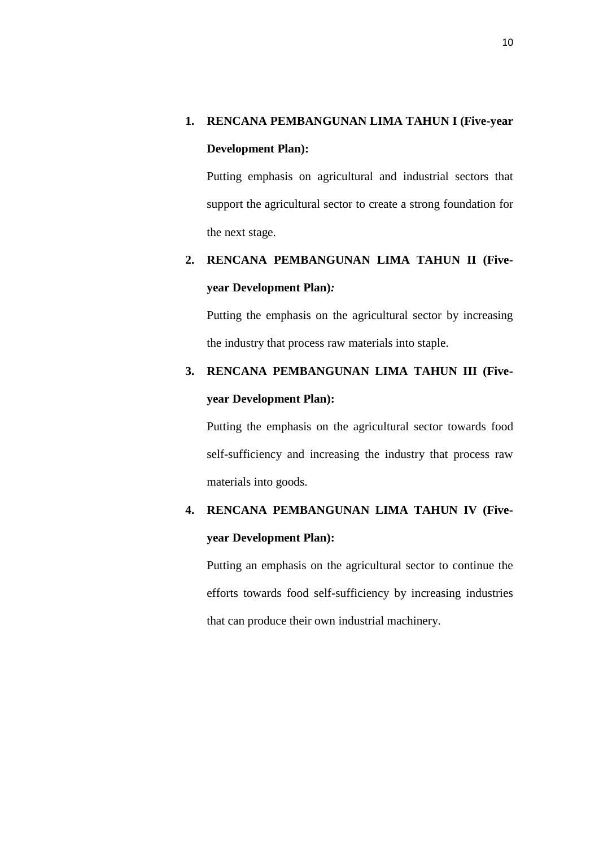### **1. RENCANA PEMBANGUNAN LIMA TAHUN I (Five-year**

#### **Development Plan):**

Putting emphasis on agricultural and industrial sectors that support the agricultural sector to create a strong foundation for the next stage.

# **2. RENCANA PEMBANGUNAN LIMA TAHUN II (Fiveyear Development Plan)***:*

Putting the emphasis on the agricultural sector by increasing the industry that process raw materials into staple.

## **3. RENCANA PEMBANGUNAN LIMA TAHUN III (Fiveyear Development Plan):**

Putting the emphasis on the agricultural sector towards food self-sufficiency and increasing the industry that process raw materials into goods.

## **4. RENCANA PEMBANGUNAN LIMA TAHUN IV (Fiveyear Development Plan):**

Putting an emphasis on the agricultural sector to continue the efforts towards food self-sufficiency by increasing industries that can produce their own industrial machinery.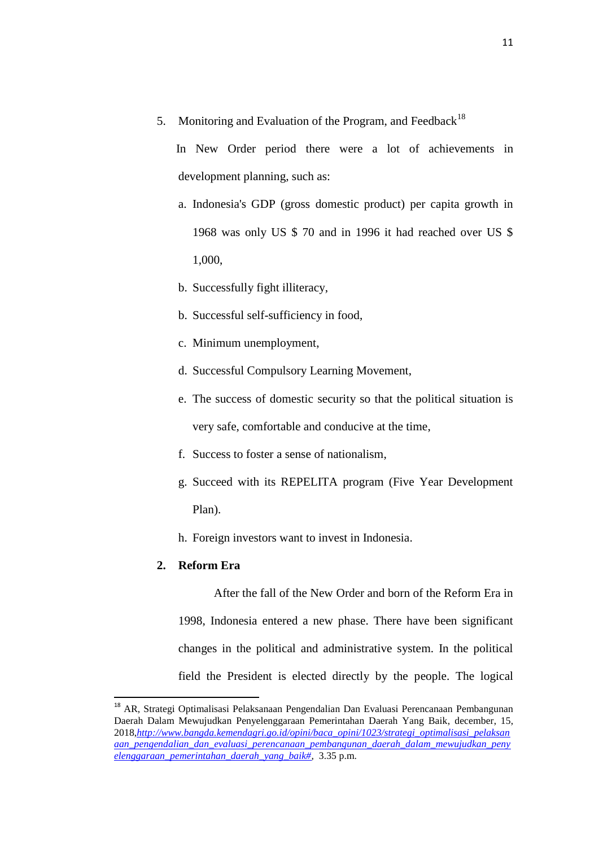5. Monitoring and Evaluation of the Program, and Feedback<sup>18</sup>

 In New Order period there were a lot of achievements in development planning, such as:

- a. Indonesia's GDP (gross domestic product) per capita growth in 1968 was only US \$ 70 and in 1996 it had reached over US \$ 1,000,
- b. Successfully fight illiteracy,
- b. Successful self-sufficiency in food,
- c. Minimum unemployment,
- d. Successful Compulsory Learning Movement,
- e. The success of domestic security so that the political situation is very safe, comfortable and conducive at the time,
- f. Success to foster a sense of nationalism,
- g. Succeed with its REPELITA program (Five Year Development Plan).
- h. Foreign investors want to invest in Indonesia.

### **2. Reform Era**

 $\overline{a}$ 

After the fall of the New Order and born of the Reform Era in 1998, Indonesia entered a new phase. There have been significant changes in the political and administrative system. In the political field the President is elected directly by the people. The logical

<sup>&</sup>lt;sup>18</sup> AR, Strategi Optimalisasi Pelaksanaan Pengendalian Dan Evaluasi Perencanaan Pembangunan [Daerah Dalam Mewujudkan Penyelenggaraan Pemerintahan Daerah Yang Baik,](http://www.bangda.kemendagri.go.id/opini/baca_opini/1023/strategi_optimalisasi_pelaksanaan_pengendalian_dan_evaluasi_perencanaan_pembangunan_daerah_dalam_mewujudkan_penyelenggaraan_pemerintahan_daerah_yang_baik) december, 15, 2018,*[http://www.bangda.kemendagri.go.id/opini/baca\\_opini/1023/strategi\\_optimalisasi\\_pelaksan](http://www.bangda.kemendagri.go.id/opini/baca_opini/1023/strategi_optimalisasi_pelaksanaan_pengendalian_dan_evaluasi_perencanaan_pembangunan_daerah_dalam_mewujudkan_penyelenggaraan_pemerintahan_daerah_yang_baik) [aan\\_pengendalian\\_dan\\_evaluasi\\_perencanaan\\_pembangunan\\_daerah\\_dalam\\_mewujudkan\\_peny](http://www.bangda.kemendagri.go.id/opini/baca_opini/1023/strategi_optimalisasi_pelaksanaan_pengendalian_dan_evaluasi_perencanaan_pembangunan_daerah_dalam_mewujudkan_penyelenggaraan_pemerintahan_daerah_yang_baik) [elenggaraan\\_pemerintahan\\_daerah\\_yang\\_baik#,](http://www.bangda.kemendagri.go.id/opini/baca_opini/1023/strategi_optimalisasi_pelaksanaan_pengendalian_dan_evaluasi_perencanaan_pembangunan_daerah_dalam_mewujudkan_penyelenggaraan_pemerintahan_daerah_yang_baik)* 3.35 p.m.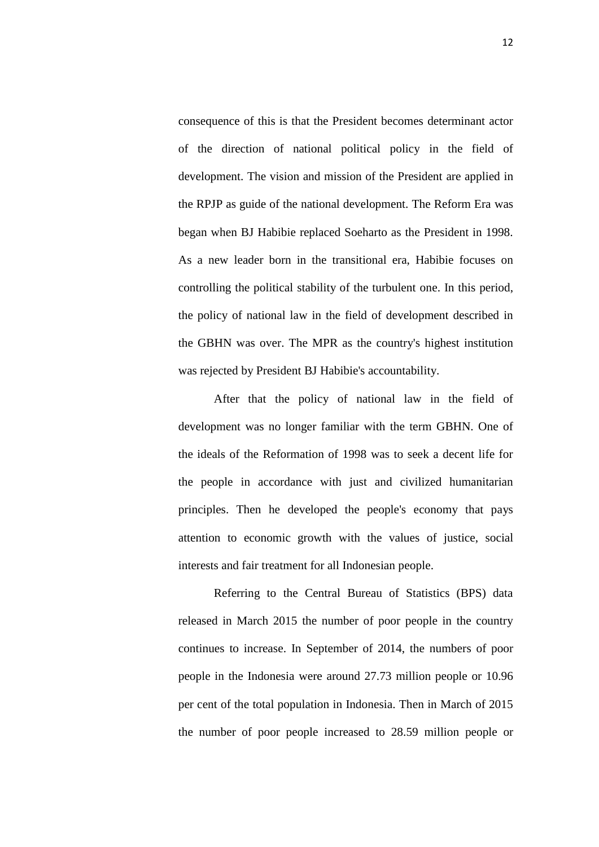consequence of this is that the President becomes determinant actor of the direction of national political policy in the field of development. The vision and mission of the President are applied in the RPJP as guide of the national development. The Reform Era was began when BJ Habibie replaced Soeharto as the President in 1998. As a new leader born in the transitional era, Habibie focuses on controlling the political stability of the turbulent one. In this period, the policy of national law in the field of development described in the GBHN was over. The MPR as the country's highest institution was rejected by President BJ Habibie's accountability.

After that the policy of national law in the field of development was no longer familiar with the term GBHN. One of the ideals of the Reformation of 1998 was to seek a decent life for the people in accordance with just and civilized humanitarian principles. Then he developed the people's economy that pays attention to economic growth with the values of justice, social interests and fair treatment for all Indonesian people.

Referring to the Central Bureau of Statistics (BPS) data released in March 2015 the number of poor people in the country continues to increase. In September of 2014, the numbers of poor people in the Indonesia were around 27.73 million people or 10.96 per cent of the total population in Indonesia. Then in March of 2015 the number of poor people increased to 28.59 million people or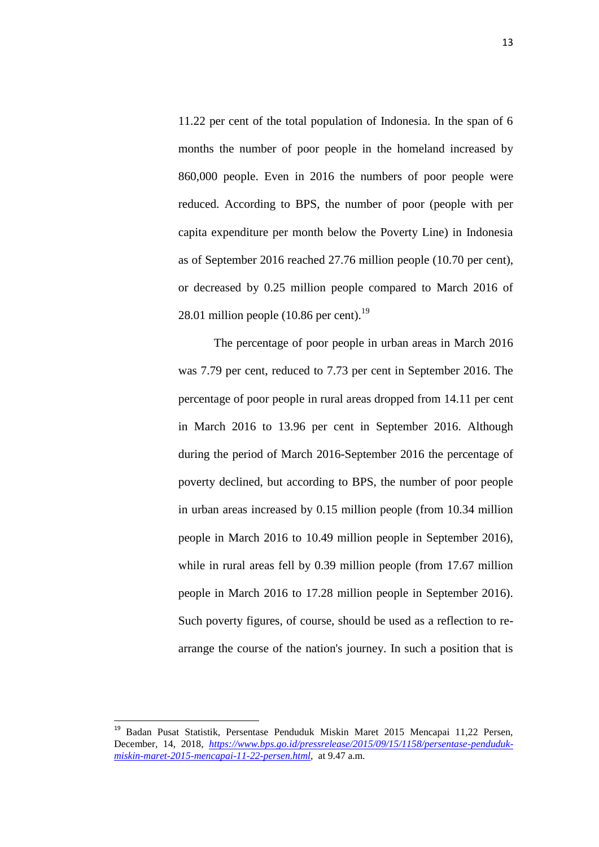11.22 per cent of the total population of Indonesia. In the span of 6 months the number of poor people in the homeland increased by 860,000 people. Even in 2016 the numbers of poor people were reduced. According to BPS, the number of poor (people with per capita expenditure per month below the Poverty Line) in Indonesia as of September 2016 reached 27.76 million people (10.70 per cent), or decreased by 0.25 million people compared to March 2016 of 28.01 million people  $(10.86$  per cent).<sup>19</sup>

The percentage of poor people in urban areas in March 2016 was 7.79 per cent, reduced to 7.73 per cent in September 2016. The percentage of poor people in rural areas dropped from 14.11 per cent in March 2016 to 13.96 per cent in September 2016. Although during the period of March 2016-September 2016 the percentage of poverty declined, but according to BPS, the number of poor people in urban areas increased by 0.15 million people (from 10.34 million people in March 2016 to 10.49 million people in September 2016), while in rural areas fell by 0.39 million people (from 17.67 million people in March 2016 to 17.28 million people in September 2016). Such poverty figures, of course, should be used as a reflection to rearrange the course of the nation's journey. In such a position that is

 $\overline{\phantom{a}}$ 

<sup>&</sup>lt;sup>19</sup> Badan Pusat Statistik, Persentase Penduduk Miskin Maret 2015 Mencapai 11,22 Persen, December, 14, 2018, *[https://www.bps.go.id/pressrelease/2015/09/15/1158/persentase-penduduk](https://www.bps.go.id/pressrelease/2015/09/15/1158/persentase-penduduk-miskin-maret-2015-mencapai-11-22-persen.html)[miskin-maret-2015-mencapai-11-22-persen.html](https://www.bps.go.id/pressrelease/2015/09/15/1158/persentase-penduduk-miskin-maret-2015-mencapai-11-22-persen.html)*, at 9.47 a.m.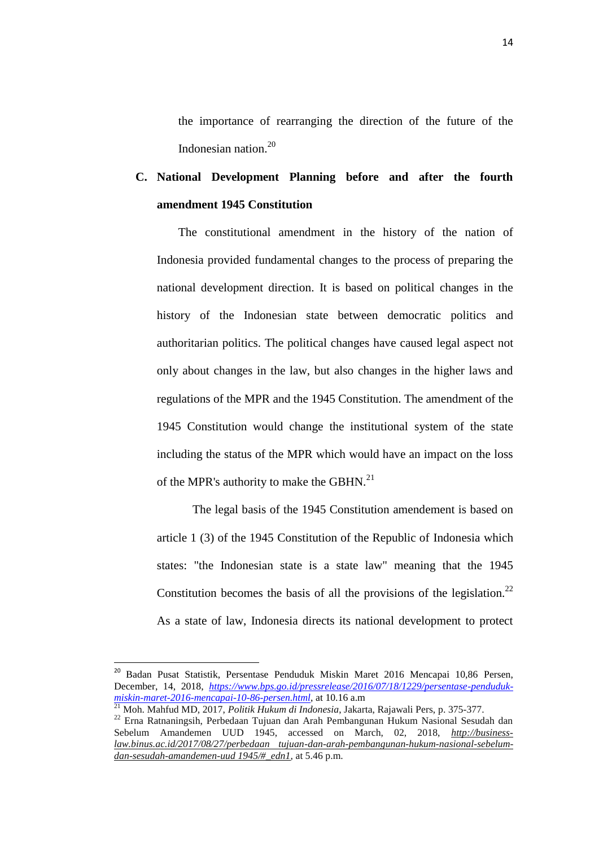the importance of rearranging the direction of the future of the Indonesian nation.<sup>20</sup>

### **C. National Development Planning before and after the fourth amendment 1945 Constitution**

The constitutional amendment in the history of the nation of Indonesia provided fundamental changes to the process of preparing the national development direction. It is based on political changes in the history of the Indonesian state between democratic politics and authoritarian politics. The political changes have caused legal aspect not only about changes in the law, but also changes in the higher laws and regulations of the MPR and the 1945 Constitution. The amendment of the 1945 Constitution would change the institutional system of the state including the status of the MPR which would have an impact on the loss of the MPR's authority to make the GBHN.<sup>21</sup>

The legal basis of the 1945 Constitution amendement is based on article 1 (3) of the 1945 Constitution of the Republic of Indonesia which states: "the Indonesian state is a state law" meaning that the 1945 Constitution becomes the basis of all the provisions of the legislation.<sup>22</sup> As a state of law, Indonesia directs its national development to protect

<sup>&</sup>lt;sup>20</sup> Badan Pusat Statistik, Persentase Penduduk Miskin Maret 2016 Mencapai 10,86 Persen, December, 14, 2018, *[https://www.bps.go.id/pressrelease/2016/07/18/1229/persentase-penduduk](https://www.bps.go.id/pressrelease/2016/07/18/1229/persentase-penduduk-miskin-maret-2016-mencapai-10-86-persen.html)[miskin-maret-2016-mencapai-10-86-persen.html](https://www.bps.go.id/pressrelease/2016/07/18/1229/persentase-penduduk-miskin-maret-2016-mencapai-10-86-persen.html)*, at 10.16 a.m

<sup>21</sup> Moh. Mahfud MD, 2017, *Politik Hukum di Indonesia*, Jakarta, Rajawali Pers, p. 375-377.

<sup>22</sup> Erna Ratnaningsih, Perbedaan Tujuan dan Arah Pembangunan Hukum Nasional Sesudah dan Sebelum Amandemen UUD 1945, accessed on March, 02, 2018, *[http://business](http://business-law.binus.ac.id/2017/08/27/perbedaan%20tujuan-dan-arah-pembangunan-hukum-nasional-sebelum-dan-sesudah-amandemen-uud%201945/#_edn1)[law.binus.ac.id/2017/08/27/perbedaan tujuan-dan-arah-pembangunan-hukum-nasional-sebelum](http://business-law.binus.ac.id/2017/08/27/perbedaan%20tujuan-dan-arah-pembangunan-hukum-nasional-sebelum-dan-sesudah-amandemen-uud%201945/#_edn1)[dan-sesudah-amandemen-uud 1945/#\\_edn1](http://business-law.binus.ac.id/2017/08/27/perbedaan%20tujuan-dan-arah-pembangunan-hukum-nasional-sebelum-dan-sesudah-amandemen-uud%201945/#_edn1)*, at 5.46 p.m.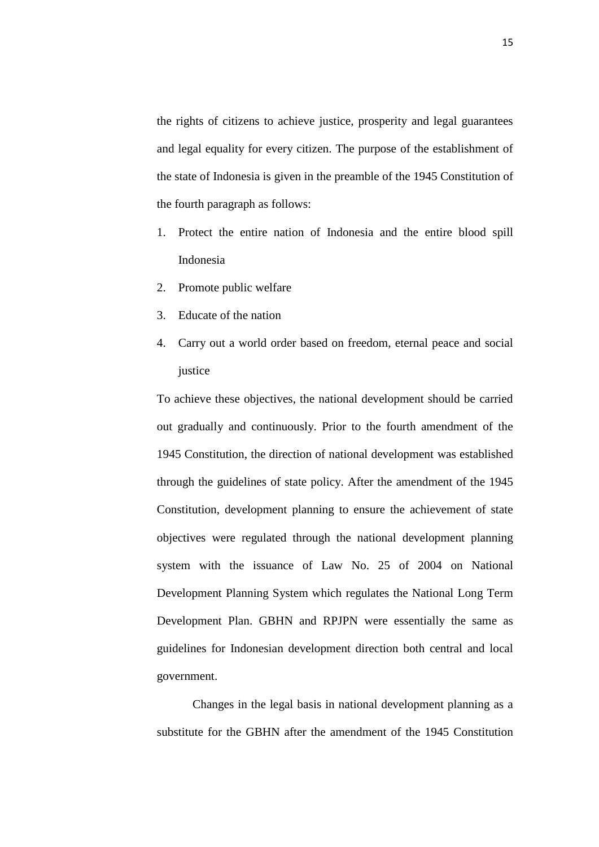the rights of citizens to achieve justice, prosperity and legal guarantees and legal equality for every citizen. The purpose of the establishment of the state of Indonesia is given in the preamble of the 1945 Constitution of the fourth paragraph as follows:

- 1. Protect the entire nation of Indonesia and the entire blood spill Indonesia
- 2. Promote public welfare
- 3. Educate of the nation
- 4. Carry out a world order based on freedom, eternal peace and social justice

To achieve these objectives, the national development should be carried out gradually and continuously. Prior to the fourth amendment of the 1945 Constitution, the direction of national development was established through the guidelines of state policy. After the amendment of the 1945 Constitution, development planning to ensure the achievement of state objectives were regulated through the national development planning system with the issuance of Law No. 25 of 2004 on National Development Planning System which regulates the National Long Term Development Plan. GBHN and RPJPN were essentially the same as guidelines for Indonesian development direction both central and local government.

Changes in the legal basis in national development planning as a substitute for the GBHN after the amendment of the 1945 Constitution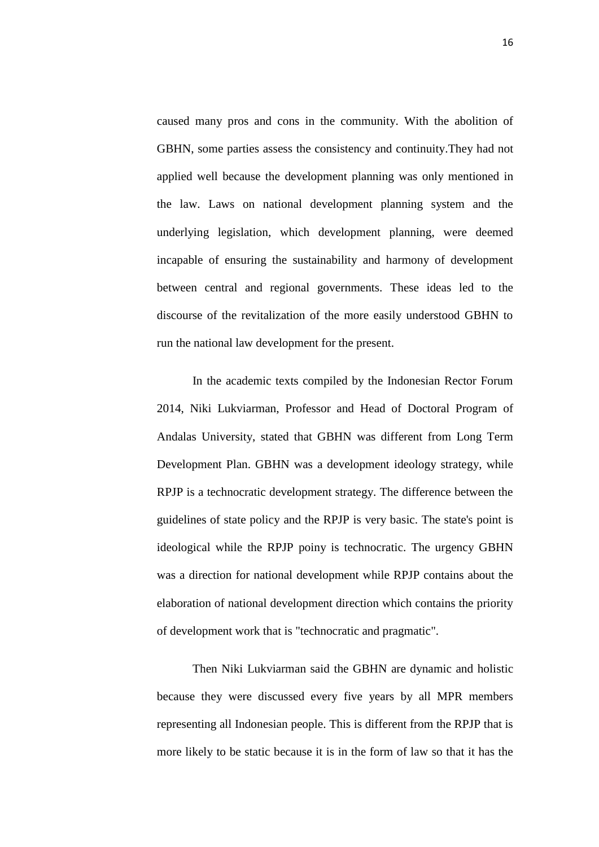caused many pros and cons in the community. With the abolition of GBHN, some parties assess the consistency and continuity.They had not applied well because the development planning was only mentioned in the law. Laws on national development planning system and the underlying legislation, which development planning, were deemed incapable of ensuring the sustainability and harmony of development between central and regional governments. These ideas led to the discourse of the revitalization of the more easily understood GBHN to run the national law development for the present.

In the academic texts compiled by the Indonesian Rector Forum 2014, Niki Lukviarman, Professor and Head of Doctoral Program of Andalas University, stated that GBHN was different from Long Term Development Plan. GBHN was a development ideology strategy, while RPJP is a technocratic development strategy. The difference between the guidelines of state policy and the RPJP is very basic. The state's point is ideological while the RPJP poiny is technocratic. The urgency GBHN was a direction for national development while RPJP contains about the elaboration of national development direction which contains the priority of development work that is "technocratic and pragmatic".

Then Niki Lukviarman said the GBHN are dynamic and holistic because they were discussed every five years by all MPR members representing all Indonesian people. This is different from the RPJP that is more likely to be static because it is in the form of law so that it has the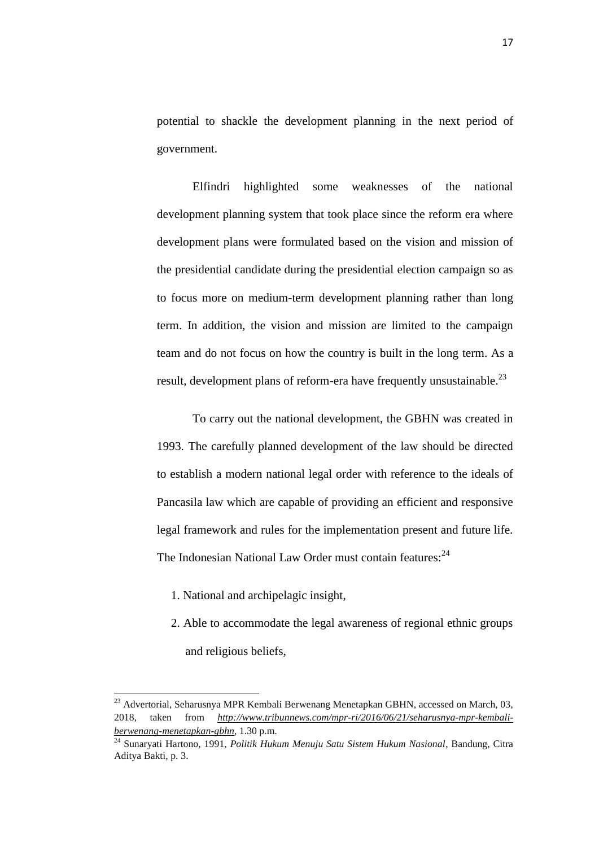potential to shackle the development planning in the next period of government.

Elfindri highlighted some weaknesses of the national development planning system that took place since the reform era where development plans were formulated based on the vision and mission of the presidential candidate during the presidential election campaign so as to focus more on medium-term development planning rather than long term. In addition, the vision and mission are limited to the campaign team and do not focus on how the country is built in the long term. As a result, development plans of reform-era have frequently unsustainable.<sup>23</sup>

To carry out the national development, the GBHN was created in 1993. The carefully planned development of the law should be directed to establish a modern national legal order with reference to the ideals of Pancasila law which are capable of providing an efficient and responsive legal framework and rules for the implementation present and future life. The Indonesian National Law Order must contain features:<sup>24</sup>

1. National and archipelagic insight,

 $\overline{a}$ 

2. Able to accommodate the legal awareness of regional ethnic groups and religious beliefs,

 $^{23}$  Advertorial, Seharusnya MPR Kembali Berwenang Menetapkan GBHN, accessed on March, 03, 2018, taken from *[http://www.tribunnews.com/mpr-ri/2016/06/21/seharusnya-mpr-kembali](http://www.tribunnews.com/mpr-ri/2016/06/21/seharusnya-mpr-kembali-berwenang-menetapkan-gbhn)[berwenang-menetapkan-gbhn](http://www.tribunnews.com/mpr-ri/2016/06/21/seharusnya-mpr-kembali-berwenang-menetapkan-gbhn)*, 1.30 p.m.

<sup>24</sup> Sunaryati Hartono, 1991, *Politik Hukum Menuju Satu Sistem Hukum Nasional*, Bandung, Citra Aditya Bakti, p. 3.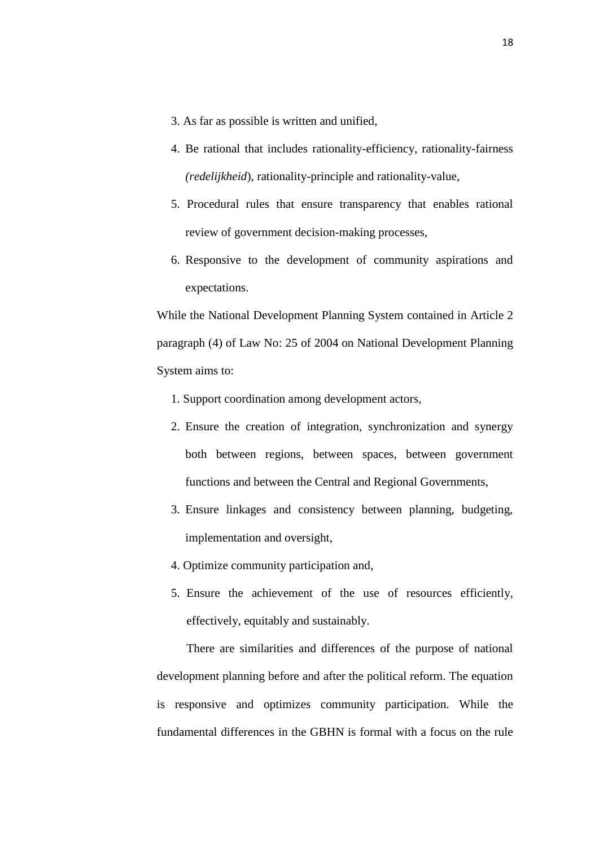- 3. As far as possible is written and unified,
- 4. Be rational that includes rationality-efficiency, rationality-fairness *(redelijkheid*), rationality-principle and rationality-value,
- 5. Procedural rules that ensure transparency that enables rational review of government decision-making processes,
- 6. Responsive to the development of community aspirations and expectations.

While the National Development Planning System contained in Article 2 paragraph (4) of Law No: 25 of 2004 on National Development Planning System aims to:

- 1. Support coordination among development actors,
- 2. Ensure the creation of integration, synchronization and synergy both between regions, between spaces, between government functions and between the Central and Regional Governments,
- 3. Ensure linkages and consistency between planning, budgeting, implementation and oversight,
- 4. Optimize community participation and,
- 5. Ensure the achievement of the use of resources efficiently, effectively, equitably and sustainably.

There are similarities and differences of the purpose of national development planning before and after the political reform. The equation is responsive and optimizes community participation. While the fundamental differences in the GBHN is formal with a focus on the rule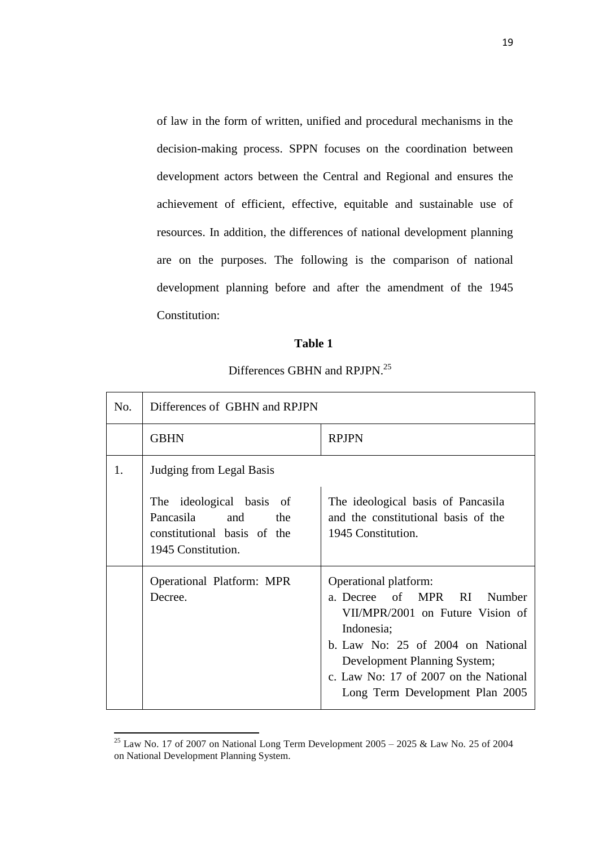of law in the form of written, unified and procedural mechanisms in the decision-making process. SPPN focuses on the coordination between development actors between the Central and Regional and ensures the achievement of efficient, effective, equitable and sustainable use of resources. In addition, the differences of national development planning are on the purposes. The following is the comparison of national development planning before and after the amendment of the 1945 Constitution:

### **Table 1**

### Differences GBHN and RPJPN.<sup>25</sup>

| No. | Differences of GBHN and RPJPN                                                                            |                                                                                                                                                                                                                                                                   |
|-----|----------------------------------------------------------------------------------------------------------|-------------------------------------------------------------------------------------------------------------------------------------------------------------------------------------------------------------------------------------------------------------------|
|     | <b>GBHN</b>                                                                                              | <b>RPJPN</b>                                                                                                                                                                                                                                                      |
| 1.  | Judging from Legal Basis                                                                                 |                                                                                                                                                                                                                                                                   |
|     | The ideological basis of<br>Pancasila<br>and<br>the<br>constitutional basis of the<br>1945 Constitution. | The ideological basis of Pancasila<br>and the constitutional basis of the<br>1945 Constitution.                                                                                                                                                                   |
|     | <b>Operational Platform: MPR</b><br>Decree.                                                              | Operational platform:<br>a. Decree of MPR<br>RI.<br>Number<br>VII/MPR/2001 on Future Vision of<br>Indonesia;<br>b. Law No: $25$ of $2004$ on National<br>Development Planning System;<br>c. Law No: 17 of 2007 on the National<br>Long Term Development Plan 2005 |

<sup>&</sup>lt;sup>25</sup> Law No. 17 of 2007 on National Long Term Development 2005 – 2025 & Law No. 25 of 2004 on National Development Planning System.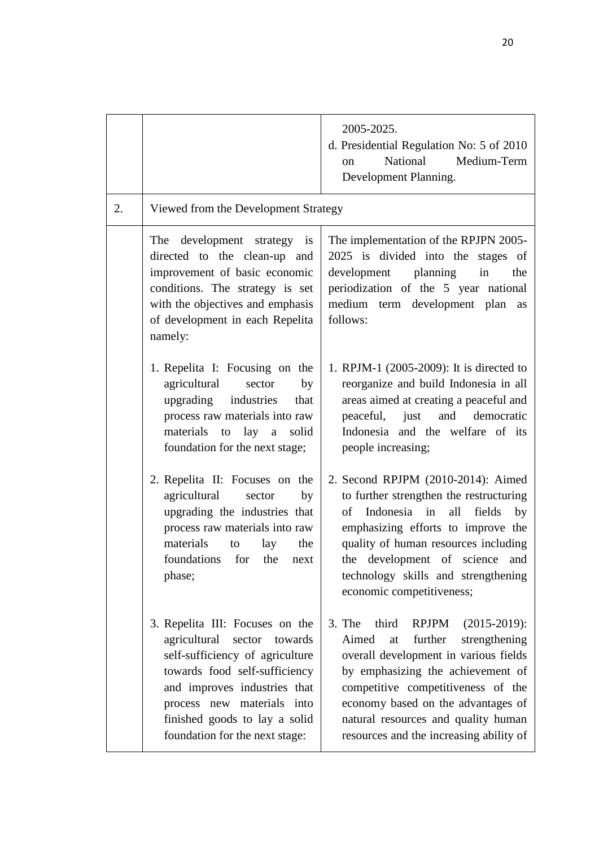|    |                                                                                                                                                                                                                                                                           | 2005-2025.<br>d. Presidential Regulation No: 5 of 2010<br>National<br>Medium-Term<br><sub>on</sub><br>Development Planning.                                                                                                                                                                                                    |
|----|---------------------------------------------------------------------------------------------------------------------------------------------------------------------------------------------------------------------------------------------------------------------------|--------------------------------------------------------------------------------------------------------------------------------------------------------------------------------------------------------------------------------------------------------------------------------------------------------------------------------|
| 2. | Viewed from the Development Strategy                                                                                                                                                                                                                                      |                                                                                                                                                                                                                                                                                                                                |
|    | The development strategy is<br>directed to the clean-up and<br>improvement of basic economic<br>conditions. The strategy is set<br>with the objectives and emphasis<br>of development in each Repelita<br>namely:                                                         | The implementation of the RPJPN 2005-<br>2025 is divided into the stages of<br>development planning<br>in<br>the<br>periodization of the 5 year national<br>medium term development plan<br>as<br>follows:                                                                                                                     |
|    | 1. Repelita I: Focusing on the<br>agricultural<br>sector<br>by<br>upgrading industries<br>that<br>process raw materials into raw<br>materials to lay a<br>solid<br>foundation for the next stage;                                                                         | 1. RPJM-1 (2005-2009): It is directed to<br>reorganize and build Indonesia in all<br>areas aimed at creating a peaceful and<br>peaceful, just<br>and democratic<br>Indonesia and the welfare of its<br>people increasing;                                                                                                      |
|    | 2. Repelita II: Focuses on the<br>agricultural<br>by<br>sector<br>upgrading the industries that<br>process raw materials into raw<br>materials<br>the<br>lay<br>to<br>foundations for the next<br>phase;                                                                  | 2. Second RPJPM (2010-2014): Aimed<br>to further strengthen the restructuring<br>of Indonesia in all<br>fields<br>by<br>emphasizing efforts to improve the<br>quality of human resources including<br>the development of science and<br>technology skills and strengthening<br>economic competitiveness;                       |
|    | 3. Repelita III: Focuses on the<br>agricultural<br>sector<br>towards<br>self-sufficiency of agriculture<br>towards food self-sufficiency<br>and improves industries that<br>process new materials into<br>finished goods to lay a solid<br>foundation for the next stage: | RPJPM (2015-2019):<br>$3.$ The<br>third<br>strengthening<br>Aimed<br>further<br>at<br>overall development in various fields<br>by emphasizing the achievement of<br>competitive competitiveness of the<br>economy based on the advantages of<br>natural resources and quality human<br>resources and the increasing ability of |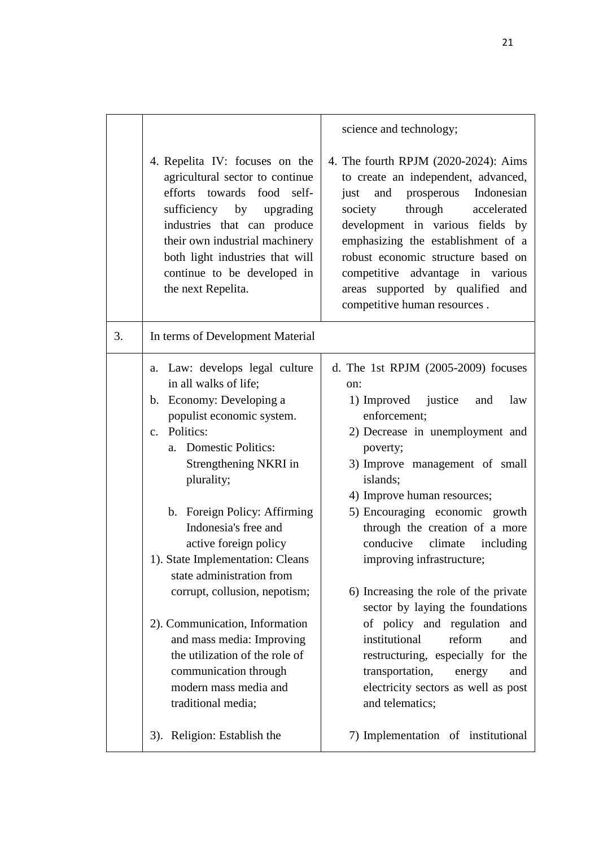4. Repelita IV: focuses on the agricultural sector to continue efforts towards food selfsufficiency by upgrading industries that can produce their own industrial machinery both light industries that will continue to be developed in the next Repelita.

### 3. In terms of Development Material

- a. Law: develops legal culture in all walks of life;
- b. Economy: Developing a populist economic system.
- c. Politics:
	- a. Domestic Politics: Strengthening NKRI in plurality;
	- b. Foreign Policy: Affirming Indonesia's free and active foreign policy
- 1). State Implementation: Cleans state administration from corrupt, collusion, nepotism;
- 2). Communication, Information and mass media: Improving the utilization of the role of communication through modern mass media and traditional media;
- 3). Religion: Establish the

science and technology;

4. The fourth RPJM (2020-2024): Aims to create an independent, advanced, just and prosperous Indonesian society through accelerated development in various fields by emphasizing the establishment of a robust economic structure based on competitive advantage in various areas supported by qualified and competitive human resources .

- d. The 1st RPJM (2005-2009) focuses on:
	- 1) Improved justice and law enforcement;
	- 2) Decrease in unemployment and poverty;
	- 3) Improve management of small islands;
	- 4) Improve human resources;
	- 5) Encouraging economic growth through the creation of a more conducive climate including improving infrastructure;
	- 6) Increasing the role of the private sector by laying the foundations of policy and regulation and institutional reform and restructuring, especially for the transportation, energy and electricity sectors as well as post and telematics;
	- 7) Implementation of institutional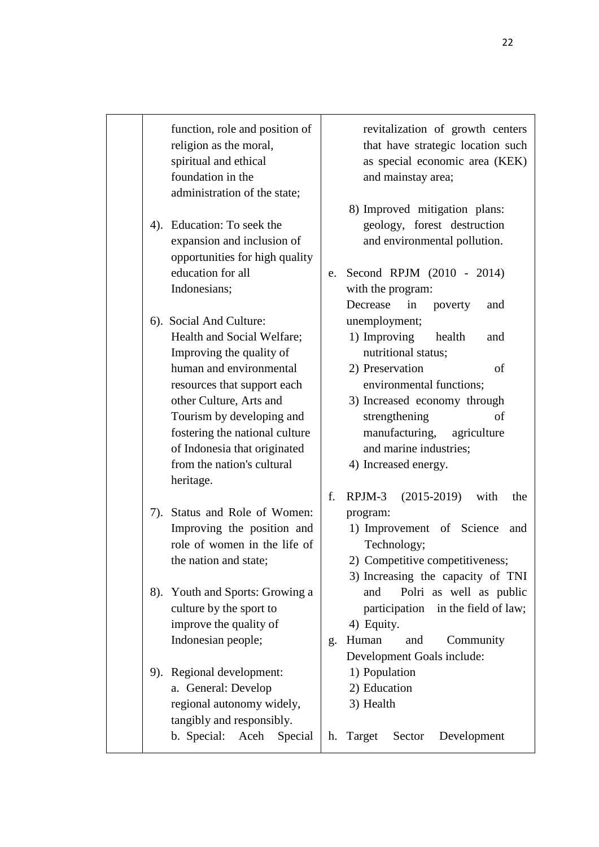function, role and position of religion as the moral, spiritual and ethical foundation in the administration of the state;

4). Education: To seek the expansion and inclusion of opportunities for high quality education for all Indonesians;

6). Social And Culture: Health and Social Welfare; Improving the quality of human and environmental resources that support each other Culture, Arts and Tourism by developing and fostering the national culture of Indonesia that originated from the nation's cultural heritage.

7). Status and Role of Women: Improving the position and role of women in the life of the nation and state;

8). Youth and Sports: Growing a culture by the sport to improve the quality of Indonesian people;

9). Regional development: a. General: Develop regional autonomy widely, tangibly and responsibly. b. Special: Aceh Special revitalization of growth centers that have strategic location such as special economic area (KEK) and mainstay area;

- 8) Improved mitigation plans: geology, forest destruction and environmental pollution.
- e. Second RPJM (2010 2014) with the program: Decrease in poverty and unemployment;
	- 1) Improving health and nutritional status;
	- 2) Preservation of environmental functions;
	- 3) Increased economy through strengthening of manufacturing, agriculture and marine industries;
	- 4) Increased energy.
- f. RPJM-3 (2015-2019) with the program:
	- 1) Improvement of Science and Technology;
	- 2) Competitive competitiveness;
	- 3) Increasing the capacity of TNI and Polri as well as public participation in the field of law; 4) Equity.
- g. Human and Community Development Goals include:
	- 1) Population
	- 2) Education
	- 3) Health
- h. Target Sector Development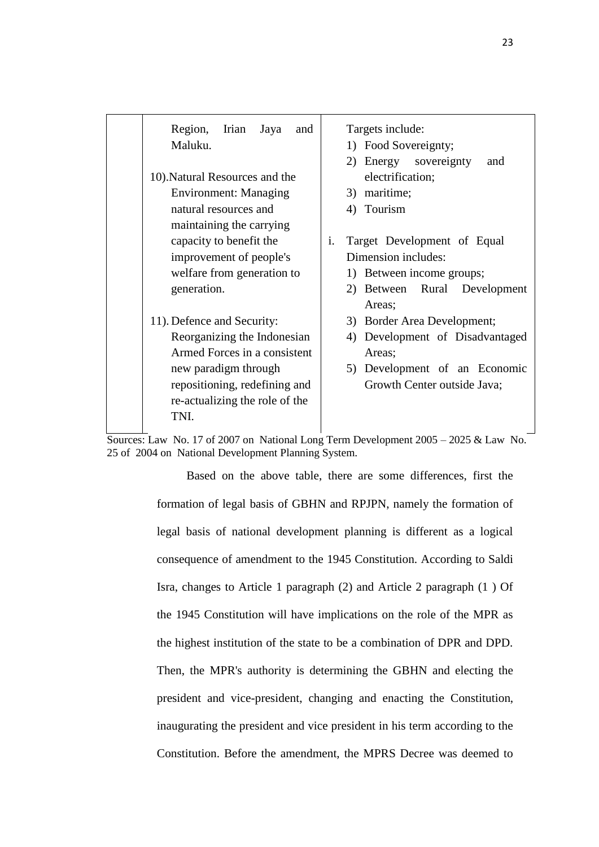Region, Irian Jaya and Maluku.

- 10).Natural Resources and the Environment: Managing natural resources and maintaining the carrying capacity to benefit the improvement of people's welfare from generation to generation.
- 11). Defence and Security: Reorganizing the Indonesian Armed Forces in a consistent new paradigm through repositioning, redefining and re-actualizing the role of the TNI.

Targets include:

- 1) Food Sovereignty;
- 2) Energy sovereignty and electrification;
- 3) maritime;
- 4) Tourism
- i. Target Development of Equal Dimension includes:
	- 1) Between income groups;
	- 2) Between Rural Development Areas;
	- 3) Border Area Development;
	- 4) Development of Disadvantaged Areas;
	- 5) Development of an Economic Growth Center outside Java;

Sources: Law No. 17 of 2007 on National Long Term Development 2005 – 2025 & Law No. 25 of 2004 on National Development Planning System.

> Based on the above table, there are some differences, first the formation of legal basis of GBHN and RPJPN, namely the formation of legal basis of national development planning is different as a logical consequence of amendment to the 1945 Constitution. According to Saldi Isra, changes to Article 1 paragraph (2) and Article 2 paragraph (1 ) Of the 1945 Constitution will have implications on the role of the MPR as the highest institution of the state to be a combination of DPR and DPD. Then, the MPR's authority is determining the GBHN and electing the president and vice-president, changing and enacting the Constitution, inaugurating the president and vice president in his term according to the Constitution. Before the amendment, the MPRS Decree was deemed to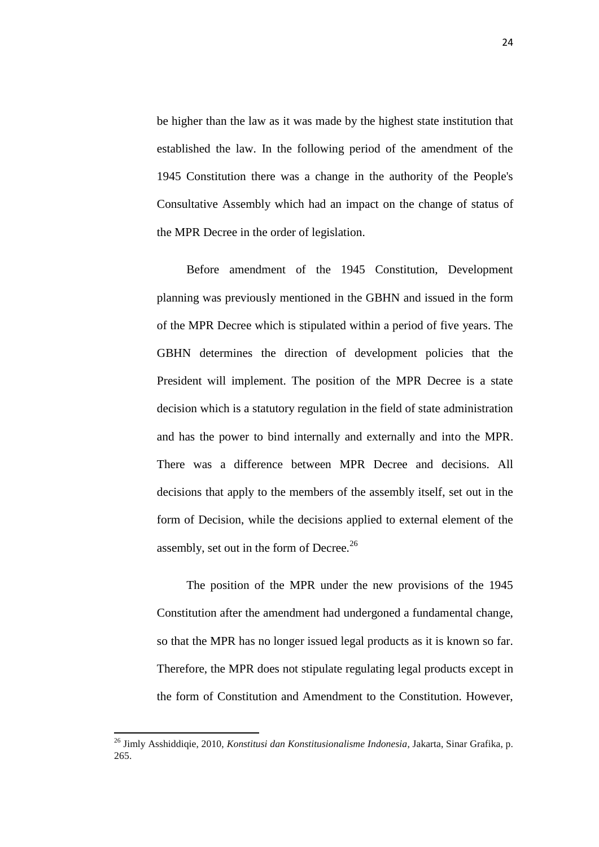be higher than the law as it was made by the highest state institution that established the law. In the following period of the amendment of the 1945 Constitution there was a change in the authority of the People's Consultative Assembly which had an impact on the change of status of the MPR Decree in the order of legislation.

Before amendment of the 1945 Constitution, Development planning was previously mentioned in the GBHN and issued in the form of the MPR Decree which is stipulated within a period of five years. The GBHN determines the direction of development policies that the President will implement. The position of the MPR Decree is a state decision which is a statutory regulation in the field of state administration and has the power to bind internally and externally and into the MPR. There was a difference between MPR Decree and decisions. All decisions that apply to the members of the assembly itself, set out in the form of Decision, while the decisions applied to external element of the assembly, set out in the form of Decree. $^{26}$ 

The position of the MPR under the new provisions of the 1945 Constitution after the amendment had undergoned a fundamental change, so that the MPR has no longer issued legal products as it is known so far. Therefore, the MPR does not stipulate regulating legal products except in the form of Constitution and Amendment to the Constitution. However,

<sup>26</sup> Jimly Asshiddiqie, 2010, *Konstitusi dan Konstitusionalisme Indonesia*, Jakarta, Sinar Grafika, p. 265.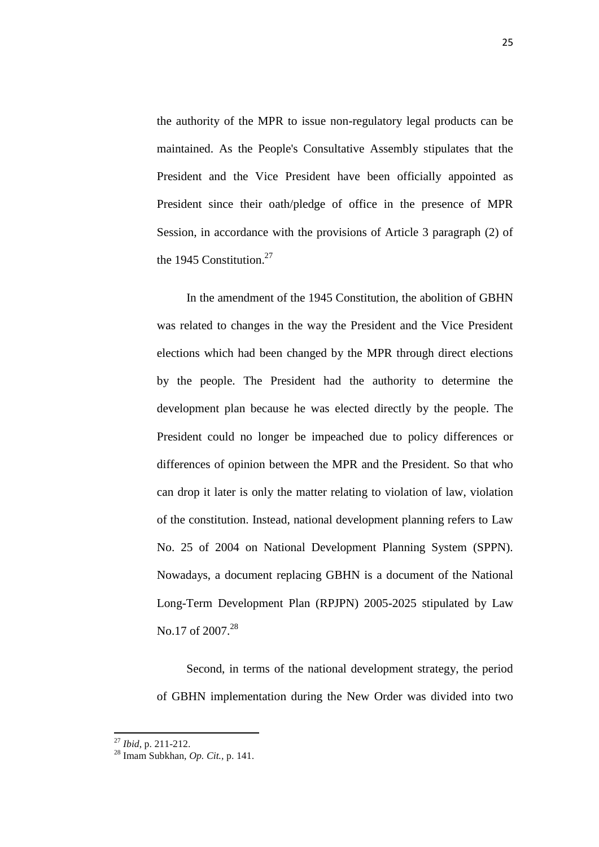the authority of the MPR to issue non-regulatory legal products can be maintained. As the People's Consultative Assembly stipulates that the President and the Vice President have been officially appointed as President since their oath/pledge of office in the presence of MPR Session, in accordance with the provisions of Article 3 paragraph (2) of the 1945 Constitution.<sup>27</sup>

In the amendment of the 1945 Constitution, the abolition of GBHN was related to changes in the way the President and the Vice President elections which had been changed by the MPR through direct elections by the people. The President had the authority to determine the development plan because he was elected directly by the people. The President could no longer be impeached due to policy differences or differences of opinion between the MPR and the President. So that who can drop it later is only the matter relating to violation of law, violation of the constitution. Instead, national development planning refers to Law No. 25 of 2004 on National Development Planning System (SPPN). Nowadays, a document replacing GBHN is a document of the National Long-Term Development Plan (RPJPN) 2005-2025 stipulated by Law No.17 of 2007.<sup>28</sup>

Second, in terms of the national development strategy, the period of GBHN implementation during the New Order was divided into two

<sup>27</sup> *Ibid*, p. 211-212.

<sup>28</sup> Imam Subkhan, *Op. Cit.,* p. 141.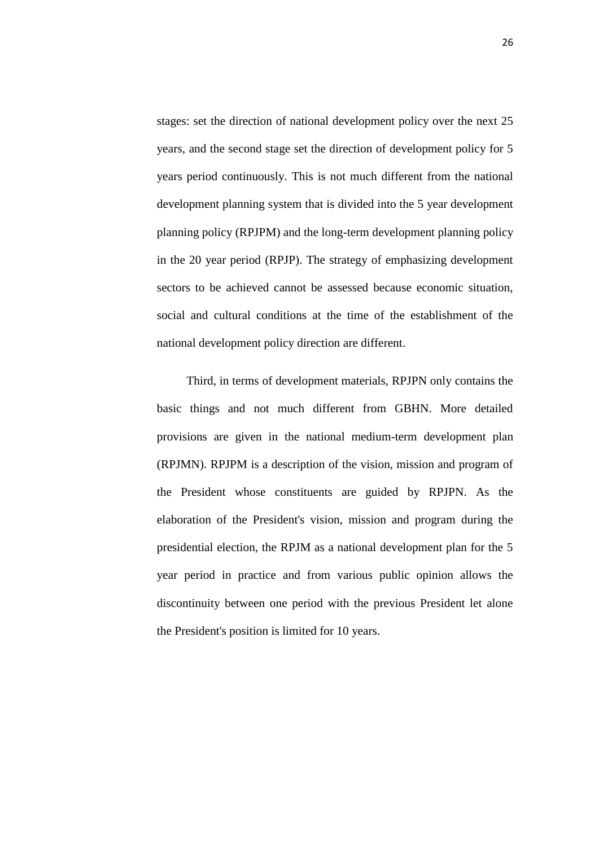stages: set the direction of national development policy over the next 25 years, and the second stage set the direction of development policy for 5 years period continuously. This is not much different from the national development planning system that is divided into the 5 year development planning policy (RPJPM) and the long-term development planning policy in the 20 year period (RPJP). The strategy of emphasizing development sectors to be achieved cannot be assessed because economic situation, social and cultural conditions at the time of the establishment of the national development policy direction are different.

Third, in terms of development materials, RPJPN only contains the basic things and not much different from GBHN. More detailed provisions are given in the national medium-term development plan (RPJMN). RPJPM is a description of the vision, mission and program of the President whose constituents are guided by RPJPN. As the elaboration of the President's vision, mission and program during the presidential election, the RPJM as a national development plan for the 5 year period in practice and from various public opinion allows the discontinuity between one period with the previous President let alone the President's position is limited for 10 years.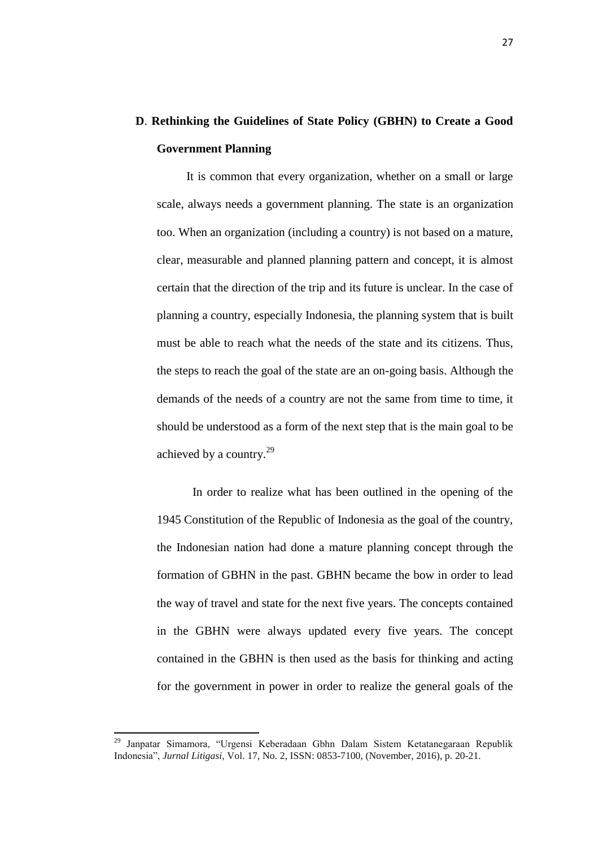### **D**. **Rethinking the Guidelines of State Policy (GBHN) to Create a Good Government Planning**

It is common that every organization, whether on a small or large scale, always needs a government planning. The state is an organization too. When an organization (including a country) is not based on a mature, clear, measurable and planned planning pattern and concept, it is almost certain that the direction of the trip and its future is unclear. In the case of planning a country, especially Indonesia, the planning system that is built must be able to reach what the needs of the state and its citizens. Thus, the steps to reach the goal of the state are an on-going basis. Although the demands of the needs of a country are not the same from time to time, it should be understood as a form of the next step that is the main goal to be achieved by a country.<sup>29</sup>

In order to realize what has been outlined in the opening of the 1945 Constitution of the Republic of Indonesia as the goal of the country, the Indonesian nation had done a mature planning concept through the formation of GBHN in the past. GBHN became the bow in order to lead the way of travel and state for the next five years. The concepts contained in the GBHN were always updated every five years. The concept contained in the GBHN is then used as the basis for thinking and acting for the government in power in order to realize the general goals of the

<sup>29</sup> Janpatar Simamora, "Urgensi Keberadaan Gbhn Dalam Sistem Ketatanegaraan Republik Indonesia", *Jurnal Litigasi*, Vol. 17, No. 2, ISSN: 0853-7100, (November, 2016), p. 20-21.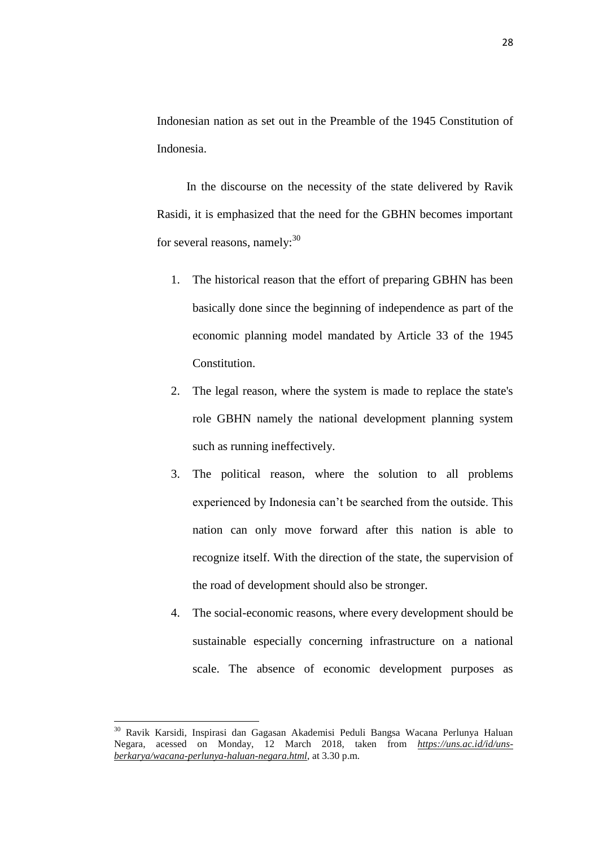Indonesian nation as set out in the Preamble of the 1945 Constitution of Indonesia.

In the discourse on the necessity of the state delivered by Ravik Rasidi, it is emphasized that the need for the GBHN becomes important for several reasons, namely: $30<sup>30</sup>$ 

- 1. The historical reason that the effort of preparing GBHN has been basically done since the beginning of independence as part of the economic planning model mandated by Article 33 of the 1945 Constitution.
- 2. The legal reason, where the system is made to replace the state's role GBHN namely the national development planning system such as running ineffectively.
- 3. The political reason, where the solution to all problems experienced by Indonesia can't be searched from the outside. This nation can only move forward after this nation is able to recognize itself. With the direction of the state, the supervision of the road of development should also be stronger.
- 4. The social-economic reasons, where every development should be sustainable especially concerning infrastructure on a national scale. The absence of economic development purposes as

 $\overline{\phantom{a}}$ 

<sup>30</sup> Ravik Karsidi, Inspirasi dan Gagasan Akademisi Peduli Bangsa Wacana Perlunya Haluan Negara, acessed on Monday, 12 March 2018, taken from *[https://uns.ac.id/id/uns](https://uns.ac.id/id/uns-berkarya/wacana-perlunya-haluan-negara.html)[berkarya/wacana-perlunya-haluan-negara.html](https://uns.ac.id/id/uns-berkarya/wacana-perlunya-haluan-negara.html)*, at 3.30 p.m.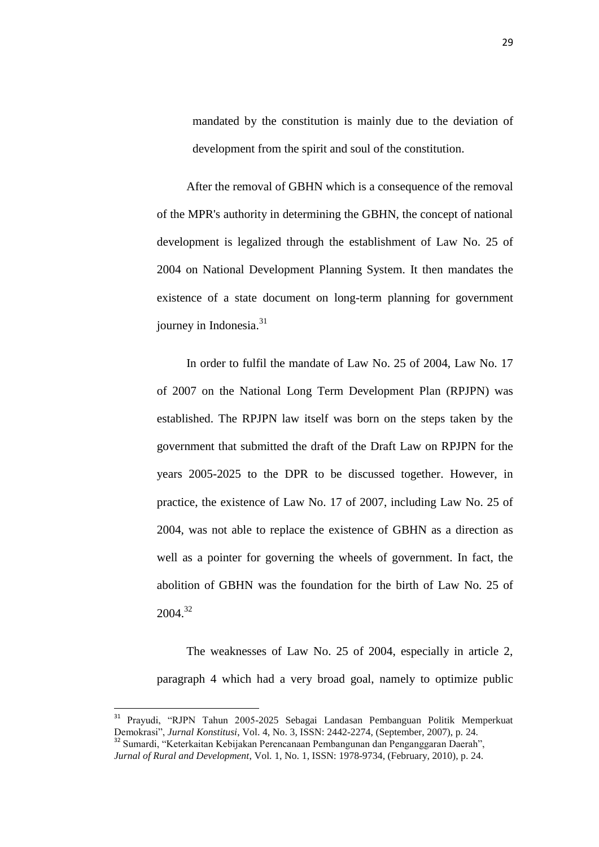mandated by the constitution is mainly due to the deviation of development from the spirit and soul of the constitution.

After the removal of GBHN which is a consequence of the removal of the MPR's authority in determining the GBHN, the concept of national development is legalized through the establishment of Law No. 25 of 2004 on National Development Planning System. It then mandates the existence of a state document on long-term planning for government journey in Indonesia.<sup>31</sup>

In order to fulfil the mandate of Law No. 25 of 2004, Law No. 17 of 2007 on the National Long Term Development Plan (RPJPN) was established. The RPJPN law itself was born on the steps taken by the government that submitted the draft of the Draft Law on RPJPN for the years 2005-2025 to the DPR to be discussed together. However, in practice, the existence of Law No. 17 of 2007, including Law No. 25 of 2004, was not able to replace the existence of GBHN as a direction as well as a pointer for governing the wheels of government. In fact, the abolition of GBHN was the foundation for the birth of Law No. 25 of 2004. 32

The weaknesses of Law No. 25 of 2004, especially in article 2, paragraph 4 which had a very broad goal, namely to optimize public

 $\overline{\phantom{a}}$ 

<sup>&</sup>lt;sup>31</sup> Prayudi, "RJPN Tahun 2005-2025 Sebagai Landasan Pembanguan Politik Memperkuat Demokrasi", *Jurnal Konstitusi*, Vol. 4, No. 3, ISSN: 2442-2274, (September, 2007), p. 24.

<sup>32</sup> Sumardi, "Keterkaitan Kebijakan Perencanaan Pembangunan dan Penganggaran Daerah", *Jurnal of Rural and Development*, Vol. 1, No. 1, ISSN: 1978-9734, (February, 2010), p. 24.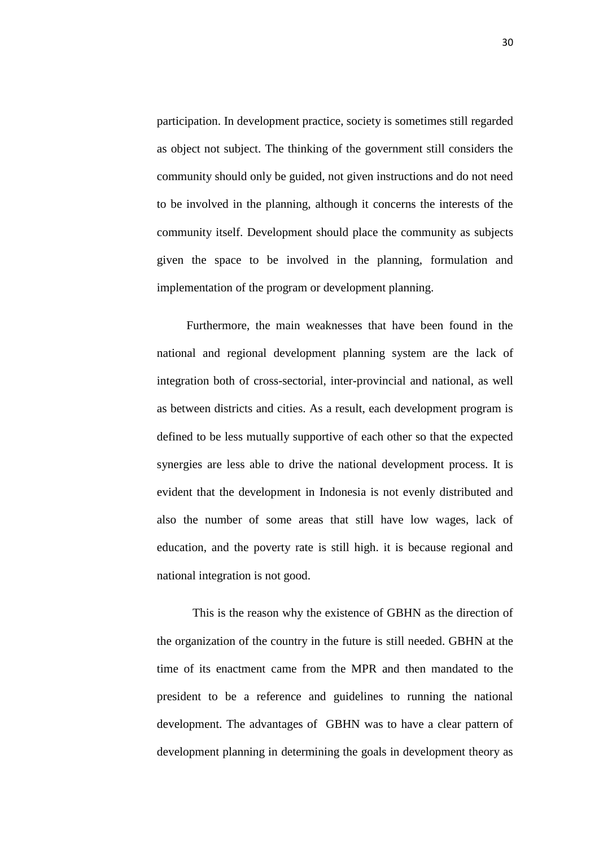participation. In development practice, society is sometimes still regarded as object not subject. The thinking of the government still considers the community should only be guided, not given instructions and do not need to be involved in the planning, although it concerns the interests of the community itself. Development should place the community as subjects given the space to be involved in the planning, formulation and implementation of the program or development planning.

Furthermore, the main weaknesses that have been found in the national and regional development planning system are the lack of integration both of cross-sectorial, inter-provincial and national, as well as between districts and cities. As a result, each development program is defined to be less mutually supportive of each other so that the expected synergies are less able to drive the national development process. It is evident that the development in Indonesia is not evenly distributed and also the number of some areas that still have low wages, lack of education, and the poverty rate is still high. it is because regional and national integration is not good.

This is the reason why the existence of GBHN as the direction of the organization of the country in the future is still needed. GBHN at the time of its enactment came from the MPR and then mandated to the president to be a reference and guidelines to running the national development. The advantages of GBHN was to have a clear pattern of development planning in determining the goals in development theory as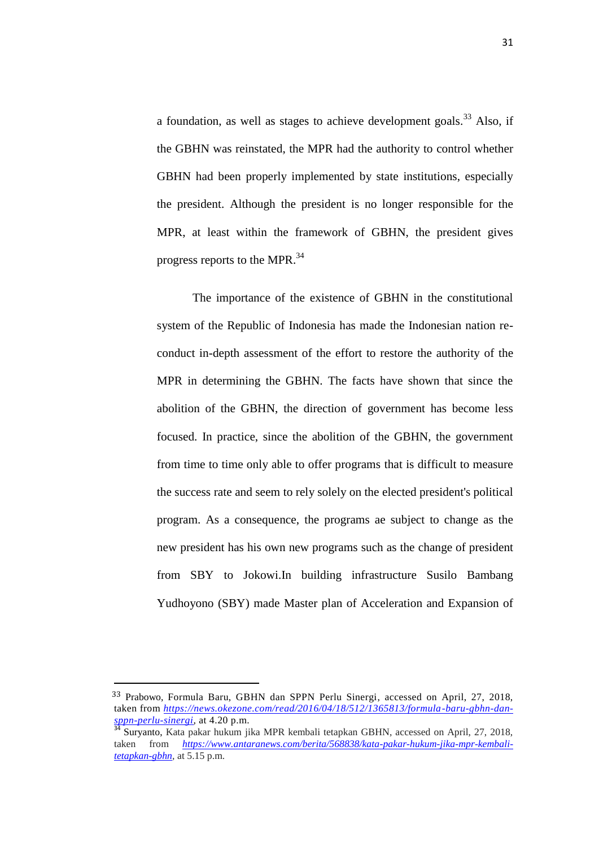a foundation, as well as stages to achieve development goals.<sup>33</sup> Also, if the GBHN was reinstated, the MPR had the authority to control whether GBHN had been properly implemented by state institutions, especially the president. Although the president is no longer responsible for the MPR, at least within the framework of GBHN, the president gives progress reports to the MPR.<sup>34</sup>

The importance of the existence of GBHN in the constitutional system of the Republic of Indonesia has made the Indonesian nation reconduct in-depth assessment of the effort to restore the authority of the MPR in determining the GBHN. The facts have shown that since the abolition of the GBHN, the direction of government has become less focused. In practice, since the abolition of the GBHN, the government from time to time only able to offer programs that is difficult to measure the success rate and seem to rely solely on the elected president's political program. As a consequence, the programs ae subject to change as the new president has his own new programs such as the change of president from SBY to Jokowi.In building infrastructure Susilo Bambang Yudhoyono (SBY) made Master plan of Acceleration and Expansion of

 $\overline{\phantom{a}}$ 

<sup>33</sup> Prabowo, Formula Baru, GBHN dan SPPN Perlu Sinergi, accessed on April, 27, 2018, taken from *[https://news.okezone.com/read/2016/04/18/512/1365813/formula-baru-gbhn-dan](https://news.okezone.com/read/2016/04/18/512/1365813/formula-baru-gbhn-dan-sppn-perlu-sinergi)[sppn-perlu-sinergi,](https://news.okezone.com/read/2016/04/18/512/1365813/formula-baru-gbhn-dan-sppn-perlu-sinergi)* at 4.20 p.m.

<sup>&</sup>lt;sup>34</sup> Suryanto, Kata pakar hukum jika MPR kembali tetapkan GBHN, accessed on April, 27, 2018, taken from *[https://www.antaranews.com/berita/568838/kata-pakar-hukum-jika-mpr-kembali](https://www.antaranews.com/berita/568838/kata-pakar-hukum-jika-mpr-kembali-tetapkan-gbhn)[tetapkan-gbhn,](https://www.antaranews.com/berita/568838/kata-pakar-hukum-jika-mpr-kembali-tetapkan-gbhn)* at 5.15 p.m.